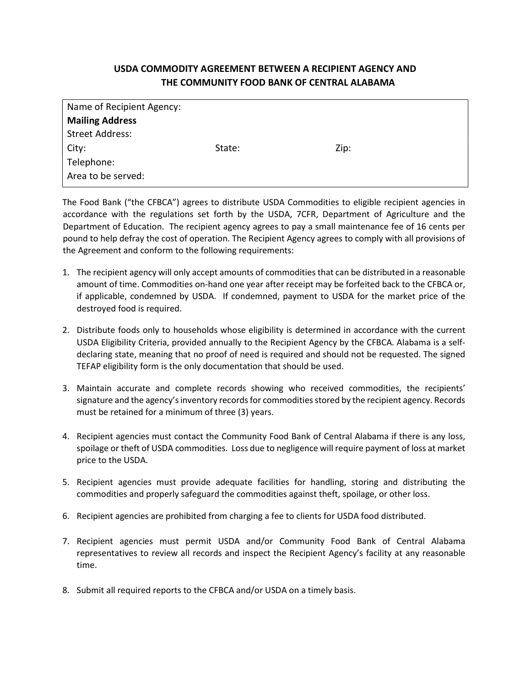## USDA COMMODITY AGREEMENT BETWEEN A RECIPIENT AGENCY AND THE COMMUNITY FOOD BANK OF CENTRAL ALABAMA

| State: | Zip: |
|--------|------|
|        |      |
|        |      |
|        |      |

The Food Bank ("the CFBCA") agrees to distribute USDA Commodities to eligible recipient agencies in accordance with the regulations set forth by the USDA, 7CFR, Department of Agriculture and the Department of Education. The recipient agency agrees to pay a small maintenance fee of 16 cents per pound to help defray the cost of operation. The Recipient Agency agrees to comply with all provisions of the Agreement and conform to the following requirements:

- 1. The recipient agency will only accept amounts of commodities that can be distributed in a reasonable amount of time. Commodities on-hand one year after receipt may be forfeited back to the CFBCA or, if applicable, condemned by USDA. If condemned, payment to USDA for the market price of the destroyed food is required.
- 2. Distribute foods only to households whose eligibility is determined in accordance with the current USDA Eligibility Criteria, provided annually to the Recipient Agency by the CFBCA. Alabama is a selfdeclaring state, meaning that no proof of need is required and should not be requested. The signed TEFAP eligibility form is the only documentation that should be used.
- 3. Maintain accurate and complete records showing who received commodities, the recipients' signature and the agency's inventory records for commodities stored by the recipient agency. Records must be retained for a minimum of three (3) years.
- 4. Recipient agencies must contact the Community Food Bank of Central Alabama if there is any loss, spoilage or theft of USDA commodities. Loss due to negligence will require payment of loss at market price to the USDA.
- 5. Recipient agencies must provide adequate facilities for handling, storing and distributing the commodities and properly safeguard the commodities against theft, spoilage, or other loss.
- 6. Recipient agencies are prohibited from charging a fee to clients for USDA food distributed.
- 7. Recipient agencies must permit USDA and/or Community Food Bank of Central Alabama representatives to review all records and inspect the Recipient Agency's facility at any reasonable time.
- 8. Submit all required reports to the CFBCA and/or USDA on a timely basis.